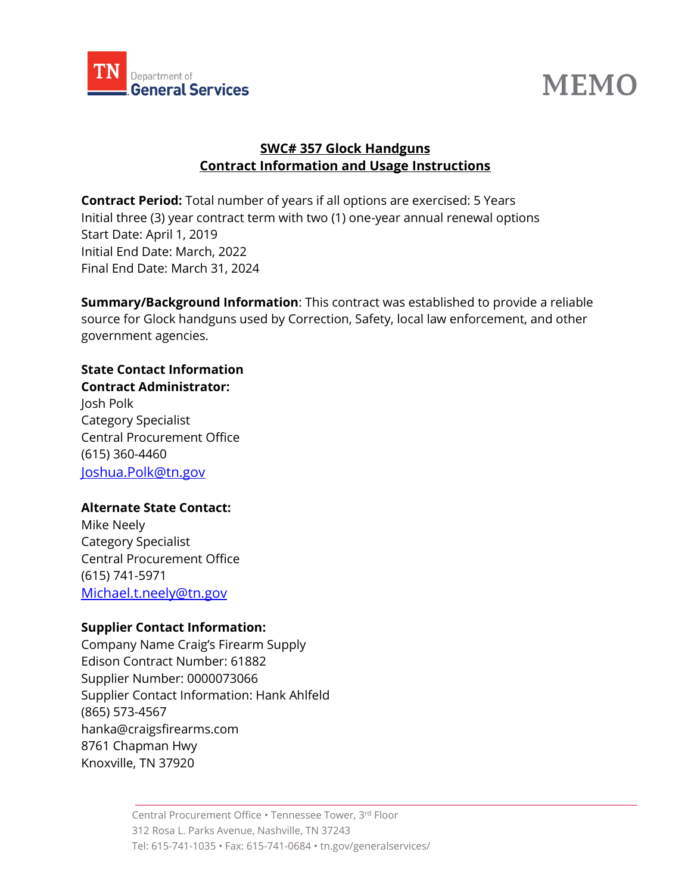



# **SWC# 357 Glock Handguns Contract Information and Usage Instructions**

**Contract Period:** Total number of years if all options are exercised: 5 Years Initial three (3) year contract term with two (1) one-year annual renewal options Start Date: April 1, 2019 Initial End Date: March, 2022 Final End Date: March 31, 2024

**Summary/Background Information**: This contract was established to provide a reliable source for Glock handguns used by Correction, Safety, local law enforcement, and other government agencies.

### **State Contact Information**

**Contract Administrator:**  Josh Polk Category Specialist Central Procurement Office (615) 360-4460 [Joshua.Polk@tn.gov](mailto:Joshua.Polk@tn.gov)

### **Alternate State Contact:**

Mike Neely Category Specialist Central Procurement Office (615) 741-5971 [Michael.t.neely@tn.gov](mailto:Michael.t.neely@tn.gov)

#### **Supplier Contact Information:**

Company Name Craig's Firearm Supply Edison Contract Number: 61882 Supplier Number: 0000073066 Supplier Contact Information: Hank Ahlfeld (865) 573-4567 hanka@craigsfirearms.com 8761 Chapman Hwy Knoxville, TN 37920